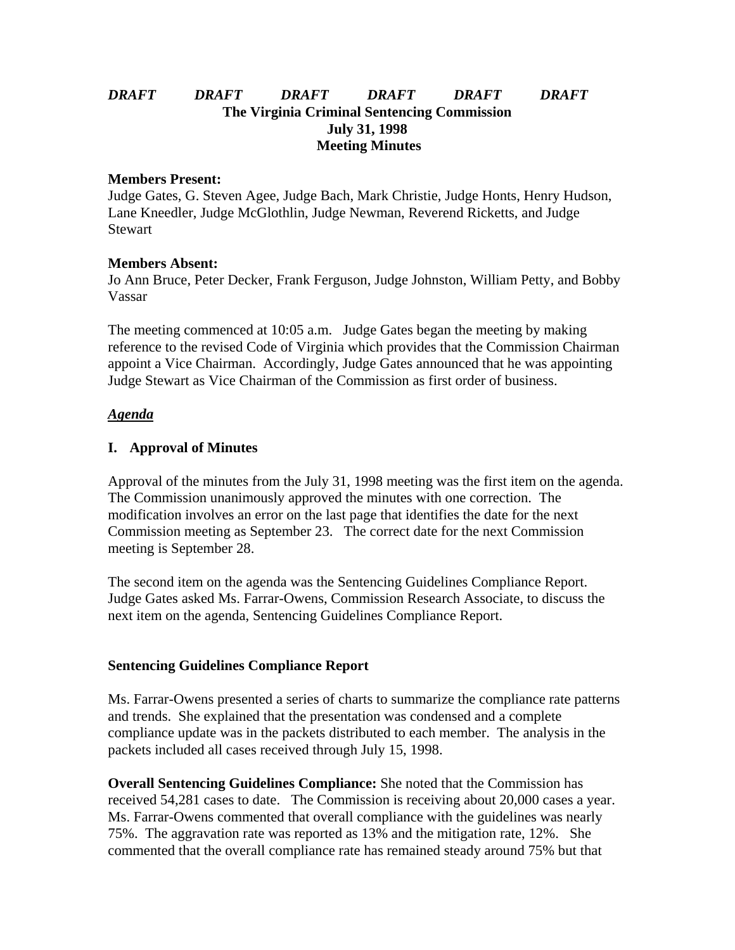# *DRAFT DRAFT DRAFT DRAFT DRAFT DRAFT* **The Virginia Criminal Sentencing Commission July 31, 1998 Meeting Minutes**

#### **Members Present:**

Judge Gates, G. Steven Agee, Judge Bach, Mark Christie, Judge Honts, Henry Hudson, Lane Kneedler, Judge McGlothlin, Judge Newman, Reverend Ricketts, and Judge **Stewart** 

#### **Members Absent:**

Jo Ann Bruce, Peter Decker, Frank Ferguson, Judge Johnston, William Petty, and Bobby Vassar

The meeting commenced at 10:05 a.m. Judge Gates began the meeting by making reference to the revised Code of Virginia which provides that the Commission Chairman appoint a Vice Chairman. Accordingly, Judge Gates announced that he was appointing Judge Stewart as Vice Chairman of the Commission as first order of business.

### *Agenda*

### **I. Approval of Minutes**

Approval of the minutes from the July 31, 1998 meeting was the first item on the agenda. The Commission unanimously approved the minutes with one correction. The modification involves an error on the last page that identifies the date for the next Commission meeting as September 23. The correct date for the next Commission meeting is September 28.

The second item on the agenda was the Sentencing Guidelines Compliance Report. Judge Gates asked Ms. Farrar-Owens, Commission Research Associate, to discuss the next item on the agenda, Sentencing Guidelines Compliance Report.

#### **Sentencing Guidelines Compliance Report**

Ms. Farrar-Owens presented a series of charts to summarize the compliance rate patterns and trends. She explained that the presentation was condensed and a complete compliance update was in the packets distributed to each member. The analysis in the packets included all cases received through July 15, 1998.

**Overall Sentencing Guidelines Compliance:** She noted that the Commission has received 54,281 cases to date. The Commission is receiving about 20,000 cases a year. Ms. Farrar-Owens commented that overall compliance with the guidelines was nearly 75%. The aggravation rate was reported as 13% and the mitigation rate, 12%. She commented that the overall compliance rate has remained steady around 75% but that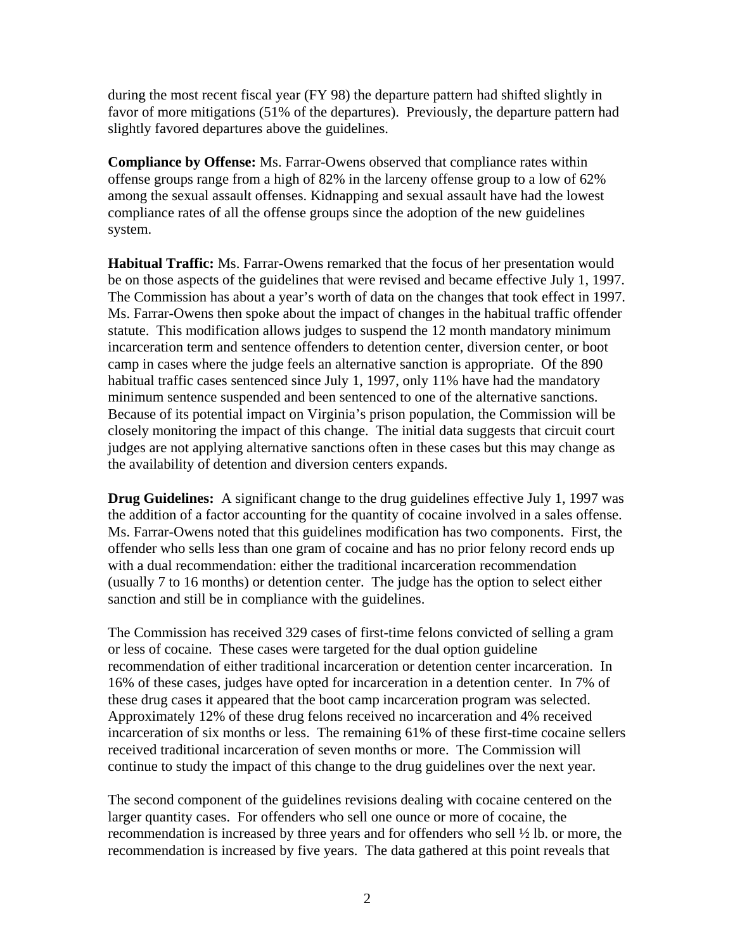during the most recent fiscal year (FY 98) the departure pattern had shifted slightly in favor of more mitigations (51% of the departures). Previously, the departure pattern had slightly favored departures above the guidelines.

**Compliance by Offense:** Ms. Farrar-Owens observed that compliance rates within offense groups range from a high of 82% in the larceny offense group to a low of 62% among the sexual assault offenses. Kidnapping and sexual assault have had the lowest compliance rates of all the offense groups since the adoption of the new guidelines system.

**Habitual Traffic:** Ms. Farrar-Owens remarked that the focus of her presentation would be on those aspects of the guidelines that were revised and became effective July 1, 1997. The Commission has about a year's worth of data on the changes that took effect in 1997. Ms. Farrar-Owens then spoke about the impact of changes in the habitual traffic offender statute. This modification allows judges to suspend the 12 month mandatory minimum incarceration term and sentence offenders to detention center, diversion center, or boot camp in cases where the judge feels an alternative sanction is appropriate. Of the 890 habitual traffic cases sentenced since July 1, 1997, only 11% have had the mandatory minimum sentence suspended and been sentenced to one of the alternative sanctions. Because of its potential impact on Virginia's prison population, the Commission will be closely monitoring the impact of this change. The initial data suggests that circuit court judges are not applying alternative sanctions often in these cases but this may change as the availability of detention and diversion centers expands.

**Drug Guidelines:** A significant change to the drug guidelines effective July 1, 1997 was the addition of a factor accounting for the quantity of cocaine involved in a sales offense. Ms. Farrar-Owens noted that this guidelines modification has two components. First, the offender who sells less than one gram of cocaine and has no prior felony record ends up with a dual recommendation: either the traditional incarceration recommendation (usually 7 to 16 months) or detention center. The judge has the option to select either sanction and still be in compliance with the guidelines.

The Commission has received 329 cases of first-time felons convicted of selling a gram or less of cocaine. These cases were targeted for the dual option guideline recommendation of either traditional incarceration or detention center incarceration. In 16% of these cases, judges have opted for incarceration in a detention center. In 7% of these drug cases it appeared that the boot camp incarceration program was selected. Approximately 12% of these drug felons received no incarceration and 4% received incarceration of six months or less. The remaining 61% of these first-time cocaine sellers received traditional incarceration of seven months or more. The Commission will continue to study the impact of this change to the drug guidelines over the next year.

The second component of the guidelines revisions dealing with cocaine centered on the larger quantity cases. For offenders who sell one ounce or more of cocaine, the recommendation is increased by three years and for offenders who sell ½ lb. or more, the recommendation is increased by five years. The data gathered at this point reveals that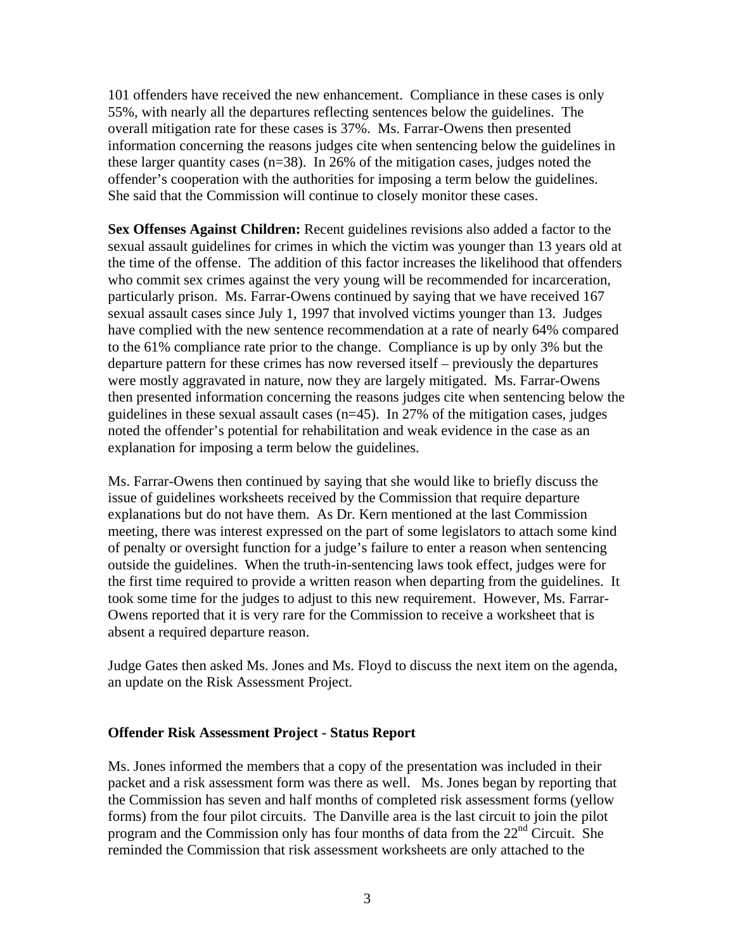101 offenders have received the new enhancement. Compliance in these cases is only 55%, with nearly all the departures reflecting sentences below the guidelines. The overall mitigation rate for these cases is 37%. Ms. Farrar-Owens then presented information concerning the reasons judges cite when sentencing below the guidelines in these larger quantity cases (n=38). In 26% of the mitigation cases, judges noted the offender's cooperation with the authorities for imposing a term below the guidelines. She said that the Commission will continue to closely monitor these cases.

**Sex Offenses Against Children:** Recent guidelines revisions also added a factor to the sexual assault guidelines for crimes in which the victim was younger than 13 years old at the time of the offense. The addition of this factor increases the likelihood that offenders who commit sex crimes against the very young will be recommended for incarceration, particularly prison. Ms. Farrar-Owens continued by saying that we have received 167 sexual assault cases since July 1, 1997 that involved victims younger than 13. Judges have complied with the new sentence recommendation at a rate of nearly 64% compared to the 61% compliance rate prior to the change. Compliance is up by only 3% but the departure pattern for these crimes has now reversed itself – previously the departures were mostly aggravated in nature, now they are largely mitigated. Ms. Farrar-Owens then presented information concerning the reasons judges cite when sentencing below the guidelines in these sexual assault cases  $(n=45)$ . In 27% of the mitigation cases, judges noted the offender's potential for rehabilitation and weak evidence in the case as an explanation for imposing a term below the guidelines.

Ms. Farrar-Owens then continued by saying that she would like to briefly discuss the issue of guidelines worksheets received by the Commission that require departure explanations but do not have them. As Dr. Kern mentioned at the last Commission meeting, there was interest expressed on the part of some legislators to attach some kind of penalty or oversight function for a judge's failure to enter a reason when sentencing outside the guidelines. When the truth-in-sentencing laws took effect, judges were for the first time required to provide a written reason when departing from the guidelines. It took some time for the judges to adjust to this new requirement. However, Ms. Farrar-Owens reported that it is very rare for the Commission to receive a worksheet that is absent a required departure reason.

Judge Gates then asked Ms. Jones and Ms. Floyd to discuss the next item on the agenda, an update on the Risk Assessment Project.

### **Offender Risk Assessment Project - Status Report**

Ms. Jones informed the members that a copy of the presentation was included in their packet and a risk assessment form was there as well. Ms. Jones began by reporting that the Commission has seven and half months of completed risk assessment forms (yellow forms) from the four pilot circuits. The Danville area is the last circuit to join the pilot program and the Commission only has four months of data from the  $22<sup>nd</sup>$  Circuit. She reminded the Commission that risk assessment worksheets are only attached to the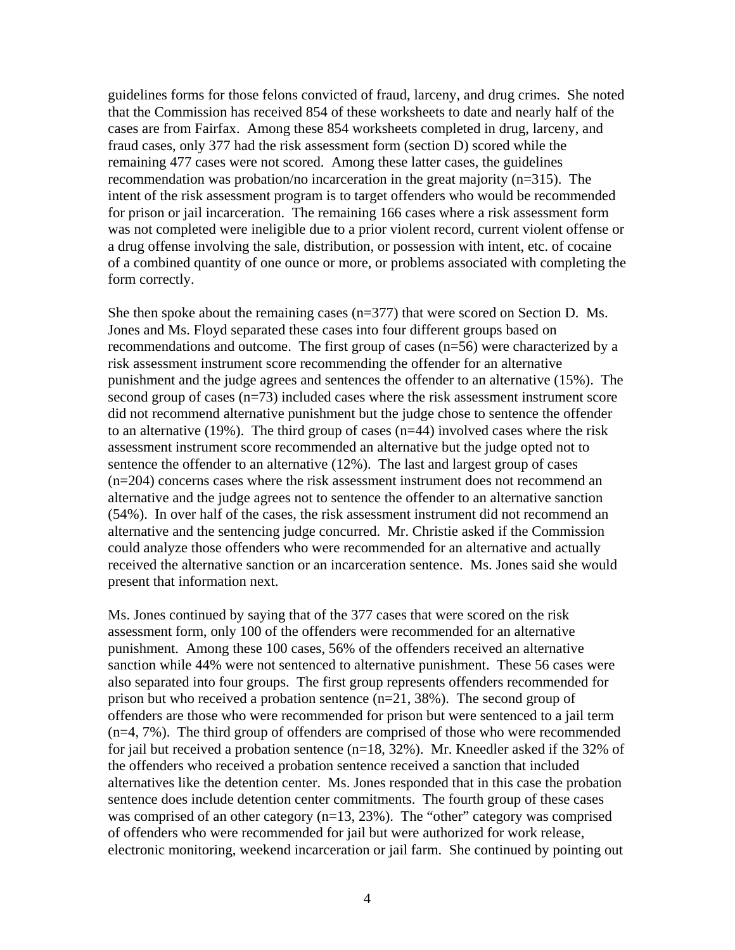guidelines forms for those felons convicted of fraud, larceny, and drug crimes. She noted that the Commission has received 854 of these worksheets to date and nearly half of the cases are from Fairfax. Among these 854 worksheets completed in drug, larceny, and fraud cases, only 377 had the risk assessment form (section D) scored while the remaining 477 cases were not scored. Among these latter cases, the guidelines recommendation was probation/no incarceration in the great majority (n=315). The intent of the risk assessment program is to target offenders who would be recommended for prison or jail incarceration. The remaining 166 cases where a risk assessment form was not completed were ineligible due to a prior violent record, current violent offense or a drug offense involving the sale, distribution, or possession with intent, etc. of cocaine of a combined quantity of one ounce or more, or problems associated with completing the form correctly.

She then spoke about the remaining cases  $(n=377)$  that were scored on Section D. Ms. Jones and Ms. Floyd separated these cases into four different groups based on recommendations and outcome. The first group of cases (n=56) were characterized by a risk assessment instrument score recommending the offender for an alternative punishment and the judge agrees and sentences the offender to an alternative (15%). The second group of cases (n=73) included cases where the risk assessment instrument score did not recommend alternative punishment but the judge chose to sentence the offender to an alternative (19%). The third group of cases (n=44) involved cases where the risk assessment instrument score recommended an alternative but the judge opted not to sentence the offender to an alternative (12%). The last and largest group of cases (n=204) concerns cases where the risk assessment instrument does not recommend an alternative and the judge agrees not to sentence the offender to an alternative sanction (54%). In over half of the cases, the risk assessment instrument did not recommend an alternative and the sentencing judge concurred. Mr. Christie asked if the Commission could analyze those offenders who were recommended for an alternative and actually received the alternative sanction or an incarceration sentence. Ms. Jones said she would present that information next.

Ms. Jones continued by saying that of the 377 cases that were scored on the risk assessment form, only 100 of the offenders were recommended for an alternative punishment. Among these 100 cases, 56% of the offenders received an alternative sanction while 44% were not sentenced to alternative punishment. These 56 cases were also separated into four groups. The first group represents offenders recommended for prison but who received a probation sentence (n=21, 38%). The second group of offenders are those who were recommended for prison but were sentenced to a jail term (n=4, 7%). The third group of offenders are comprised of those who were recommended for jail but received a probation sentence  $(n=18, 32\%)$ . Mr. Kneedler asked if the 32% of the offenders who received a probation sentence received a sanction that included alternatives like the detention center. Ms. Jones responded that in this case the probation sentence does include detention center commitments. The fourth group of these cases was comprised of an other category (n=13, 23%). The "other" category was comprised of offenders who were recommended for jail but were authorized for work release, electronic monitoring, weekend incarceration or jail farm. She continued by pointing out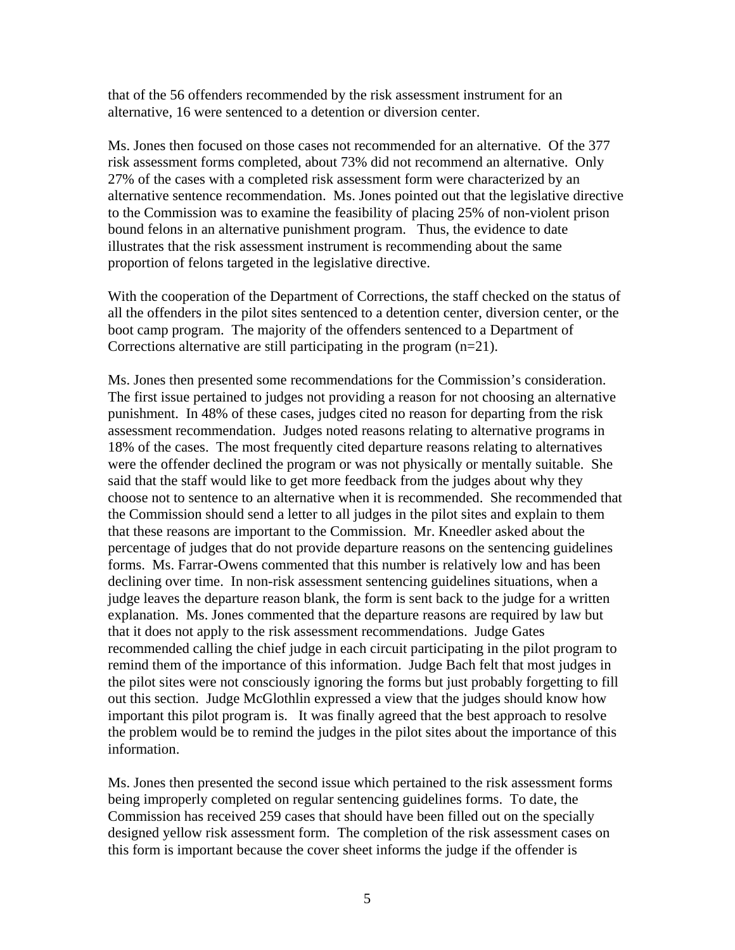that of the 56 offenders recommended by the risk assessment instrument for an alternative, 16 were sentenced to a detention or diversion center.

Ms. Jones then focused on those cases not recommended for an alternative. Of the 377 risk assessment forms completed, about 73% did not recommend an alternative. Only 27% of the cases with a completed risk assessment form were characterized by an alternative sentence recommendation. Ms. Jones pointed out that the legislative directive to the Commission was to examine the feasibility of placing 25% of non-violent prison bound felons in an alternative punishment program. Thus, the evidence to date illustrates that the risk assessment instrument is recommending about the same proportion of felons targeted in the legislative directive.

With the cooperation of the Department of Corrections, the staff checked on the status of all the offenders in the pilot sites sentenced to a detention center, diversion center, or the boot camp program. The majority of the offenders sentenced to a Department of Corrections alternative are still participating in the program (n=21).

Ms. Jones then presented some recommendations for the Commission's consideration. The first issue pertained to judges not providing a reason for not choosing an alternative punishment. In 48% of these cases, judges cited no reason for departing from the risk assessment recommendation. Judges noted reasons relating to alternative programs in 18% of the cases. The most frequently cited departure reasons relating to alternatives were the offender declined the program or was not physically or mentally suitable. She said that the staff would like to get more feedback from the judges about why they choose not to sentence to an alternative when it is recommended. She recommended that the Commission should send a letter to all judges in the pilot sites and explain to them that these reasons are important to the Commission. Mr. Kneedler asked about the percentage of judges that do not provide departure reasons on the sentencing guidelines forms. Ms. Farrar-Owens commented that this number is relatively low and has been declining over time. In non-risk assessment sentencing guidelines situations, when a judge leaves the departure reason blank, the form is sent back to the judge for a written explanation. Ms. Jones commented that the departure reasons are required by law but that it does not apply to the risk assessment recommendations. Judge Gates recommended calling the chief judge in each circuit participating in the pilot program to remind them of the importance of this information. Judge Bach felt that most judges in the pilot sites were not consciously ignoring the forms but just probably forgetting to fill out this section. Judge McGlothlin expressed a view that the judges should know how important this pilot program is. It was finally agreed that the best approach to resolve the problem would be to remind the judges in the pilot sites about the importance of this information.

Ms. Jones then presented the second issue which pertained to the risk assessment forms being improperly completed on regular sentencing guidelines forms. To date, the Commission has received 259 cases that should have been filled out on the specially designed yellow risk assessment form. The completion of the risk assessment cases on this form is important because the cover sheet informs the judge if the offender is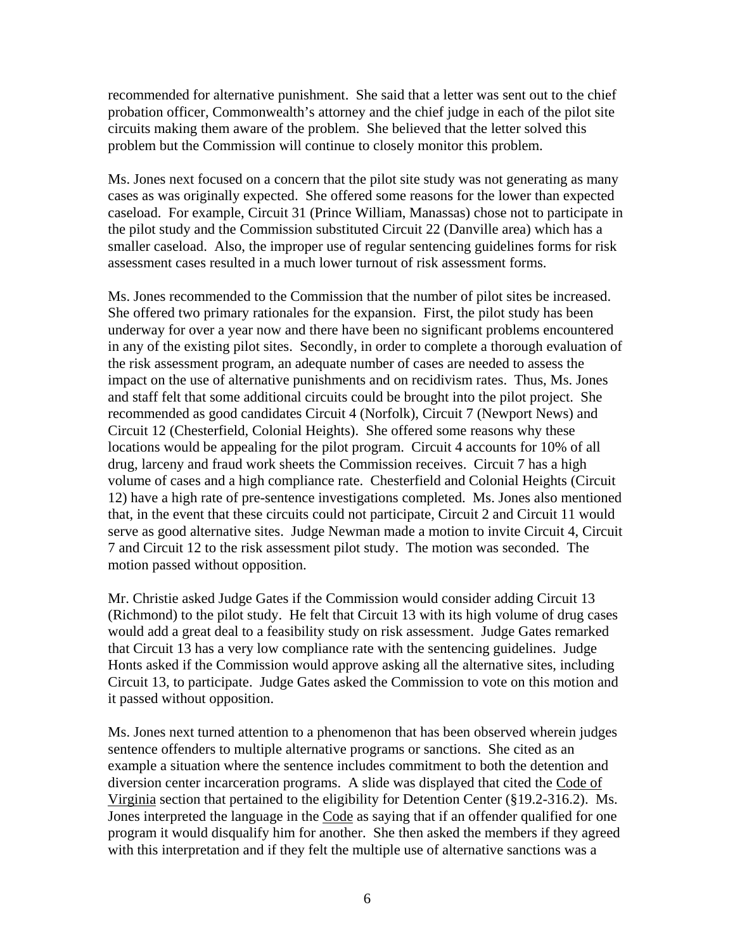recommended for alternative punishment. She said that a letter was sent out to the chief probation officer, Commonwealth's attorney and the chief judge in each of the pilot site circuits making them aware of the problem. She believed that the letter solved this problem but the Commission will continue to closely monitor this problem.

Ms. Jones next focused on a concern that the pilot site study was not generating as many cases as was originally expected. She offered some reasons for the lower than expected caseload. For example, Circuit 31 (Prince William, Manassas) chose not to participate in the pilot study and the Commission substituted Circuit 22 (Danville area) which has a smaller caseload. Also, the improper use of regular sentencing guidelines forms for risk assessment cases resulted in a much lower turnout of risk assessment forms.

Ms. Jones recommended to the Commission that the number of pilot sites be increased. She offered two primary rationales for the expansion. First, the pilot study has been underway for over a year now and there have been no significant problems encountered in any of the existing pilot sites. Secondly, in order to complete a thorough evaluation of the risk assessment program, an adequate number of cases are needed to assess the impact on the use of alternative punishments and on recidivism rates. Thus, Ms. Jones and staff felt that some additional circuits could be brought into the pilot project. She recommended as good candidates Circuit 4 (Norfolk), Circuit 7 (Newport News) and Circuit 12 (Chesterfield, Colonial Heights). She offered some reasons why these locations would be appealing for the pilot program. Circuit 4 accounts for 10% of all drug, larceny and fraud work sheets the Commission receives. Circuit 7 has a high volume of cases and a high compliance rate. Chesterfield and Colonial Heights (Circuit 12) have a high rate of pre-sentence investigations completed. Ms. Jones also mentioned that, in the event that these circuits could not participate, Circuit 2 and Circuit 11 would serve as good alternative sites. Judge Newman made a motion to invite Circuit 4, Circuit 7 and Circuit 12 to the risk assessment pilot study. The motion was seconded. The motion passed without opposition.

Mr. Christie asked Judge Gates if the Commission would consider adding Circuit 13 (Richmond) to the pilot study. He felt that Circuit 13 with its high volume of drug cases would add a great deal to a feasibility study on risk assessment. Judge Gates remarked that Circuit 13 has a very low compliance rate with the sentencing guidelines. Judge Honts asked if the Commission would approve asking all the alternative sites, including Circuit 13, to participate. Judge Gates asked the Commission to vote on this motion and it passed without opposition.

Ms. Jones next turned attention to a phenomenon that has been observed wherein judges sentence offenders to multiple alternative programs or sanctions. She cited as an example a situation where the sentence includes commitment to both the detention and diversion center incarceration programs. A slide was displayed that cited the Code of Virginia section that pertained to the eligibility for Detention Center (§19.2-316.2). Ms. Jones interpreted the language in the Code as saying that if an offender qualified for one program it would disqualify him for another. She then asked the members if they agreed with this interpretation and if they felt the multiple use of alternative sanctions was a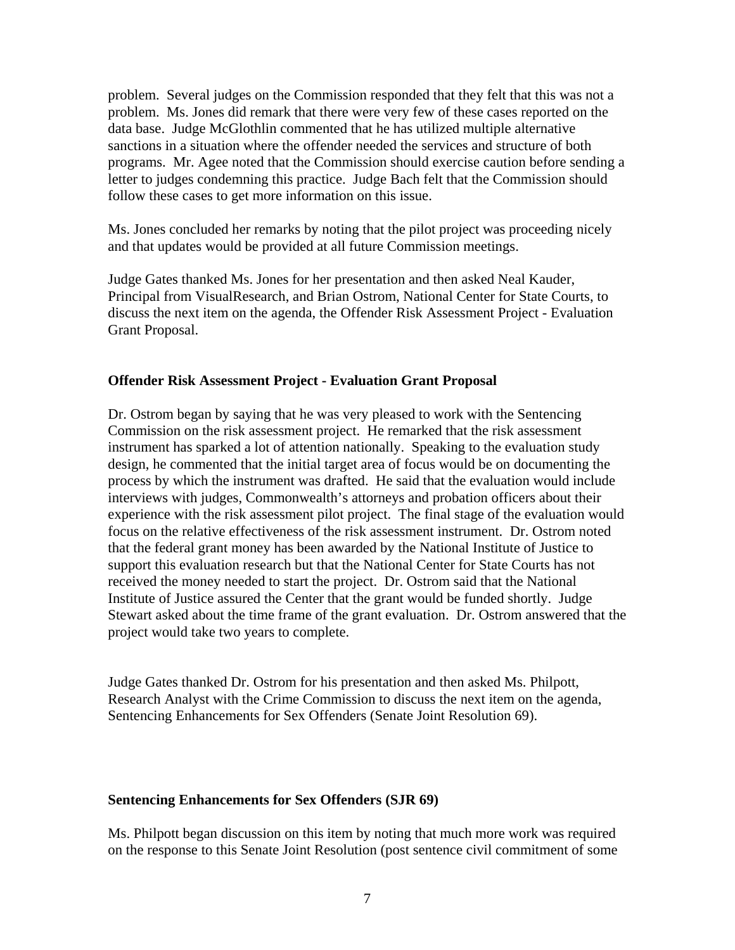problem. Several judges on the Commission responded that they felt that this was not a problem. Ms. Jones did remark that there were very few of these cases reported on the data base. Judge McGlothlin commented that he has utilized multiple alternative sanctions in a situation where the offender needed the services and structure of both programs. Mr. Agee noted that the Commission should exercise caution before sending a letter to judges condemning this practice. Judge Bach felt that the Commission should follow these cases to get more information on this issue.

Ms. Jones concluded her remarks by noting that the pilot project was proceeding nicely and that updates would be provided at all future Commission meetings.

Judge Gates thanked Ms. Jones for her presentation and then asked Neal Kauder, Principal from VisualResearch, and Brian Ostrom, National Center for State Courts, to discuss the next item on the agenda, the Offender Risk Assessment Project - Evaluation Grant Proposal.

### **Offender Risk Assessment Project - Evaluation Grant Proposal**

Dr. Ostrom began by saying that he was very pleased to work with the Sentencing Commission on the risk assessment project. He remarked that the risk assessment instrument has sparked a lot of attention nationally. Speaking to the evaluation study design, he commented that the initial target area of focus would be on documenting the process by which the instrument was drafted. He said that the evaluation would include interviews with judges, Commonwealth's attorneys and probation officers about their experience with the risk assessment pilot project. The final stage of the evaluation would focus on the relative effectiveness of the risk assessment instrument. Dr. Ostrom noted that the federal grant money has been awarded by the National Institute of Justice to support this evaluation research but that the National Center for State Courts has not received the money needed to start the project. Dr. Ostrom said that the National Institute of Justice assured the Center that the grant would be funded shortly. Judge Stewart asked about the time frame of the grant evaluation. Dr. Ostrom answered that the project would take two years to complete.

Judge Gates thanked Dr. Ostrom for his presentation and then asked Ms. Philpott, Research Analyst with the Crime Commission to discuss the next item on the agenda, Sentencing Enhancements for Sex Offenders (Senate Joint Resolution 69).

### **Sentencing Enhancements for Sex Offenders (SJR 69)**

Ms. Philpott began discussion on this item by noting that much more work was required on the response to this Senate Joint Resolution (post sentence civil commitment of some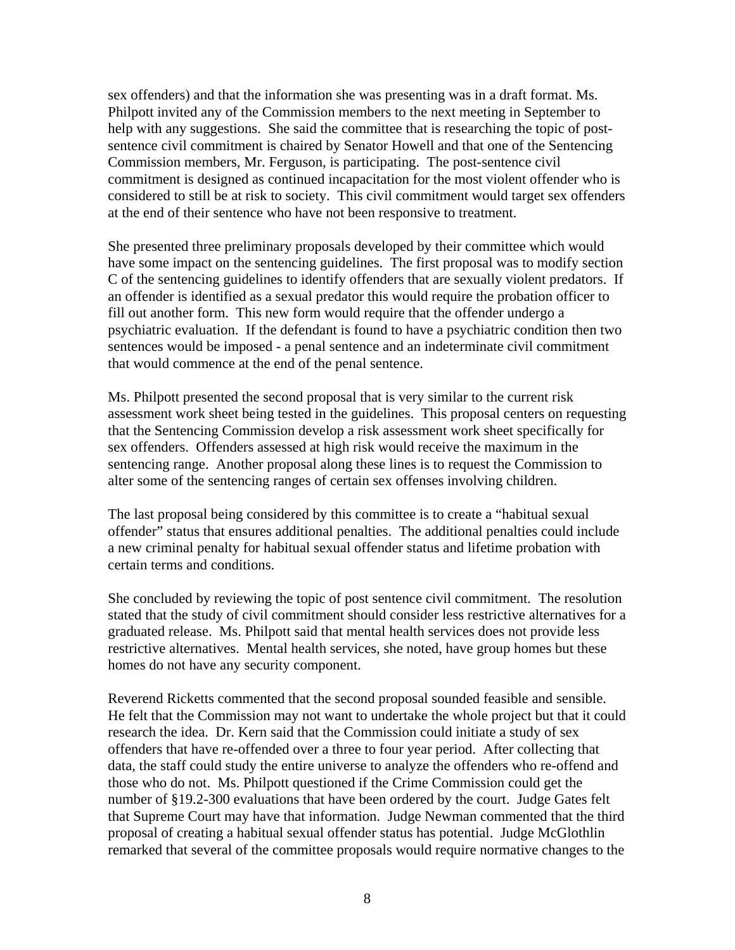sex offenders) and that the information she was presenting was in a draft format. Ms. Philpott invited any of the Commission members to the next meeting in September to help with any suggestions. She said the committee that is researching the topic of postsentence civil commitment is chaired by Senator Howell and that one of the Sentencing Commission members, Mr. Ferguson, is participating. The post-sentence civil commitment is designed as continued incapacitation for the most violent offender who is considered to still be at risk to society. This civil commitment would target sex offenders at the end of their sentence who have not been responsive to treatment.

She presented three preliminary proposals developed by their committee which would have some impact on the sentencing guidelines. The first proposal was to modify section C of the sentencing guidelines to identify offenders that are sexually violent predators. If an offender is identified as a sexual predator this would require the probation officer to fill out another form. This new form would require that the offender undergo a psychiatric evaluation. If the defendant is found to have a psychiatric condition then two sentences would be imposed - a penal sentence and an indeterminate civil commitment that would commence at the end of the penal sentence.

Ms. Philpott presented the second proposal that is very similar to the current risk assessment work sheet being tested in the guidelines. This proposal centers on requesting that the Sentencing Commission develop a risk assessment work sheet specifically for sex offenders. Offenders assessed at high risk would receive the maximum in the sentencing range. Another proposal along these lines is to request the Commission to alter some of the sentencing ranges of certain sex offenses involving children.

The last proposal being considered by this committee is to create a "habitual sexual offender" status that ensures additional penalties. The additional penalties could include a new criminal penalty for habitual sexual offender status and lifetime probation with certain terms and conditions.

She concluded by reviewing the topic of post sentence civil commitment. The resolution stated that the study of civil commitment should consider less restrictive alternatives for a graduated release. Ms. Philpott said that mental health services does not provide less restrictive alternatives. Mental health services, she noted, have group homes but these homes do not have any security component.

Reverend Ricketts commented that the second proposal sounded feasible and sensible. He felt that the Commission may not want to undertake the whole project but that it could research the idea. Dr. Kern said that the Commission could initiate a study of sex offenders that have re-offended over a three to four year period. After collecting that data, the staff could study the entire universe to analyze the offenders who re-offend and those who do not. Ms. Philpott questioned if the Crime Commission could get the number of §19.2-300 evaluations that have been ordered by the court. Judge Gates felt that Supreme Court may have that information. Judge Newman commented that the third proposal of creating a habitual sexual offender status has potential. Judge McGlothlin remarked that several of the committee proposals would require normative changes to the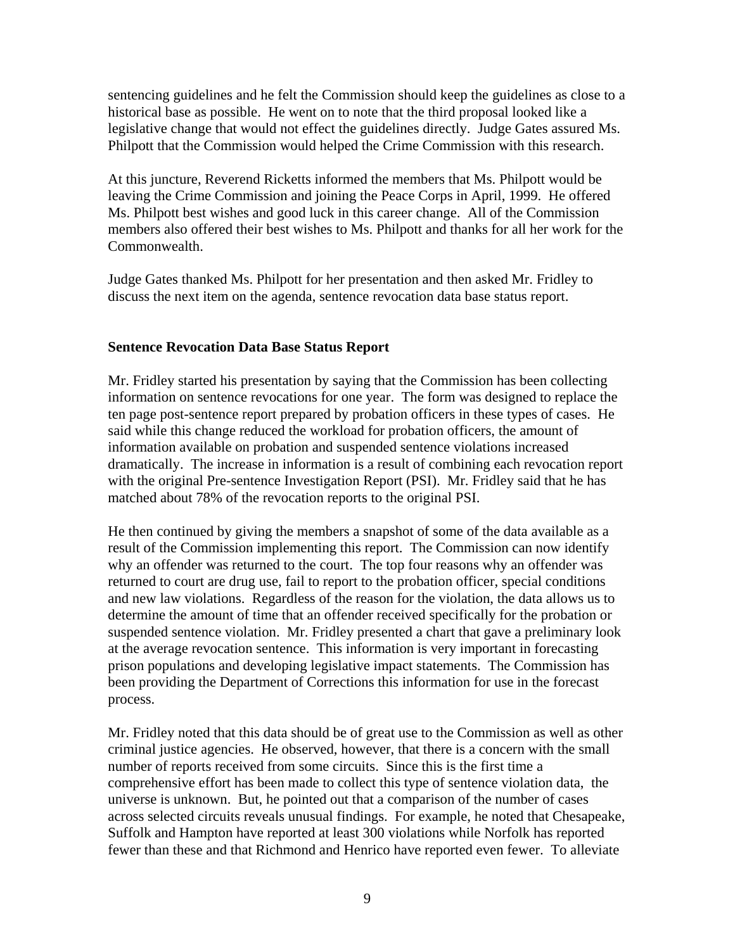sentencing guidelines and he felt the Commission should keep the guidelines as close to a historical base as possible. He went on to note that the third proposal looked like a legislative change that would not effect the guidelines directly. Judge Gates assured Ms. Philpott that the Commission would helped the Crime Commission with this research.

At this juncture, Reverend Ricketts informed the members that Ms. Philpott would be leaving the Crime Commission and joining the Peace Corps in April, 1999. He offered Ms. Philpott best wishes and good luck in this career change. All of the Commission members also offered their best wishes to Ms. Philpott and thanks for all her work for the Commonwealth.

Judge Gates thanked Ms. Philpott for her presentation and then asked Mr. Fridley to discuss the next item on the agenda, sentence revocation data base status report.

## **Sentence Revocation Data Base Status Report**

Mr. Fridley started his presentation by saying that the Commission has been collecting information on sentence revocations for one year. The form was designed to replace the ten page post-sentence report prepared by probation officers in these types of cases. He said while this change reduced the workload for probation officers, the amount of information available on probation and suspended sentence violations increased dramatically. The increase in information is a result of combining each revocation report with the original Pre-sentence Investigation Report (PSI). Mr. Fridley said that he has matched about 78% of the revocation reports to the original PSI.

He then continued by giving the members a snapshot of some of the data available as a result of the Commission implementing this report. The Commission can now identify why an offender was returned to the court. The top four reasons why an offender was returned to court are drug use, fail to report to the probation officer, special conditions and new law violations. Regardless of the reason for the violation, the data allows us to determine the amount of time that an offender received specifically for the probation or suspended sentence violation. Mr. Fridley presented a chart that gave a preliminary look at the average revocation sentence. This information is very important in forecasting prison populations and developing legislative impact statements. The Commission has been providing the Department of Corrections this information for use in the forecast process.

Mr. Fridley noted that this data should be of great use to the Commission as well as other criminal justice agencies. He observed, however, that there is a concern with the small number of reports received from some circuits. Since this is the first time a comprehensive effort has been made to collect this type of sentence violation data, the universe is unknown. But, he pointed out that a comparison of the number of cases across selected circuits reveals unusual findings. For example, he noted that Chesapeake, Suffolk and Hampton have reported at least 300 violations while Norfolk has reported fewer than these and that Richmond and Henrico have reported even fewer. To alleviate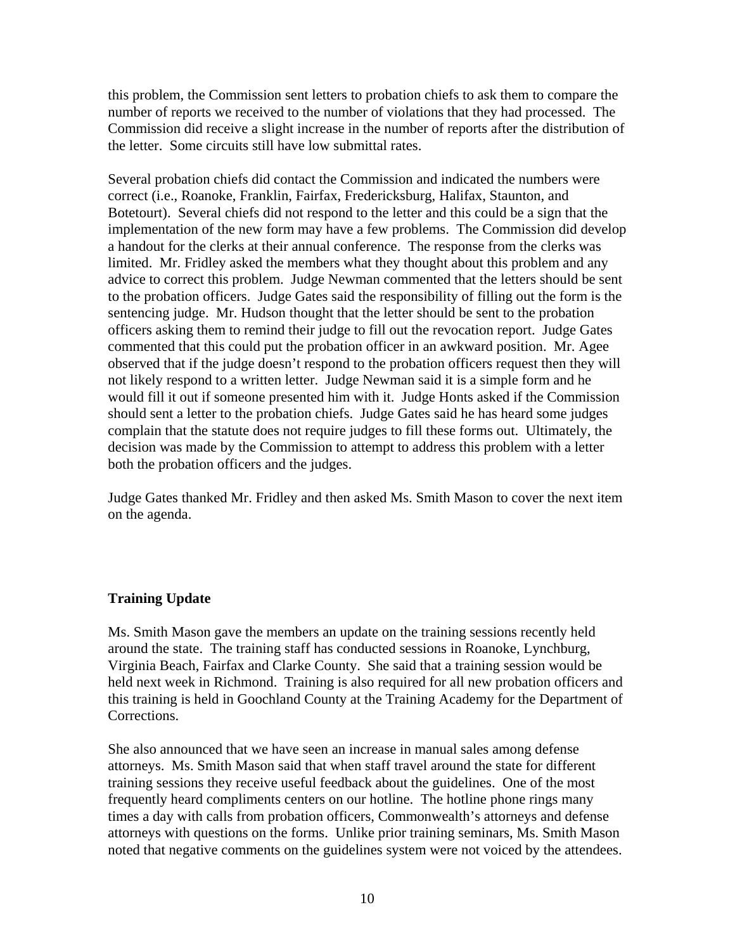this problem, the Commission sent letters to probation chiefs to ask them to compare the number of reports we received to the number of violations that they had processed. The Commission did receive a slight increase in the number of reports after the distribution of the letter. Some circuits still have low submittal rates.

Several probation chiefs did contact the Commission and indicated the numbers were correct (i.e., Roanoke, Franklin, Fairfax, Fredericksburg, Halifax, Staunton, and Botetourt). Several chiefs did not respond to the letter and this could be a sign that the implementation of the new form may have a few problems. The Commission did develop a handout for the clerks at their annual conference. The response from the clerks was limited. Mr. Fridley asked the members what they thought about this problem and any advice to correct this problem. Judge Newman commented that the letters should be sent to the probation officers. Judge Gates said the responsibility of filling out the form is the sentencing judge. Mr. Hudson thought that the letter should be sent to the probation officers asking them to remind their judge to fill out the revocation report. Judge Gates commented that this could put the probation officer in an awkward position. Mr. Agee observed that if the judge doesn't respond to the probation officers request then they will not likely respond to a written letter. Judge Newman said it is a simple form and he would fill it out if someone presented him with it. Judge Honts asked if the Commission should sent a letter to the probation chiefs. Judge Gates said he has heard some judges complain that the statute does not require judges to fill these forms out. Ultimately, the decision was made by the Commission to attempt to address this problem with a letter both the probation officers and the judges.

Judge Gates thanked Mr. Fridley and then asked Ms. Smith Mason to cover the next item on the agenda.

# **Training Update**

Ms. Smith Mason gave the members an update on the training sessions recently held around the state. The training staff has conducted sessions in Roanoke, Lynchburg, Virginia Beach, Fairfax and Clarke County. She said that a training session would be held next week in Richmond. Training is also required for all new probation officers and this training is held in Goochland County at the Training Academy for the Department of Corrections.

She also announced that we have seen an increase in manual sales among defense attorneys. Ms. Smith Mason said that when staff travel around the state for different training sessions they receive useful feedback about the guidelines. One of the most frequently heard compliments centers on our hotline. The hotline phone rings many times a day with calls from probation officers, Commonwealth's attorneys and defense attorneys with questions on the forms. Unlike prior training seminars, Ms. Smith Mason noted that negative comments on the guidelines system were not voiced by the attendees.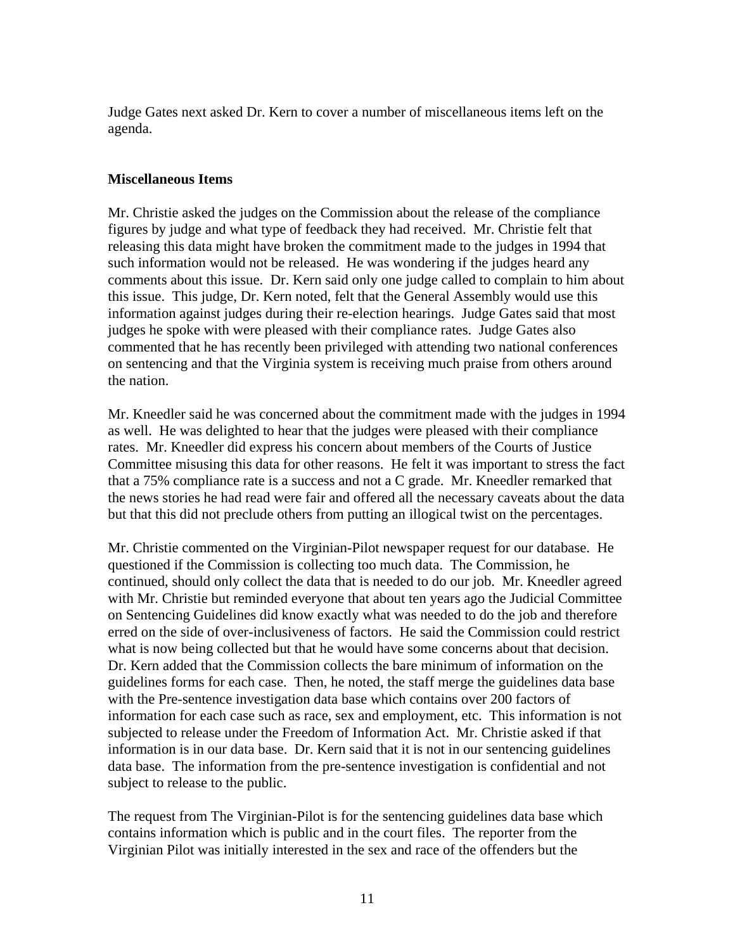Judge Gates next asked Dr. Kern to cover a number of miscellaneous items left on the agenda.

## **Miscellaneous Items**

Mr. Christie asked the judges on the Commission about the release of the compliance figures by judge and what type of feedback they had received. Mr. Christie felt that releasing this data might have broken the commitment made to the judges in 1994 that such information would not be released. He was wondering if the judges heard any comments about this issue. Dr. Kern said only one judge called to complain to him about this issue. This judge, Dr. Kern noted, felt that the General Assembly would use this information against judges during their re-election hearings. Judge Gates said that most judges he spoke with were pleased with their compliance rates. Judge Gates also commented that he has recently been privileged with attending two national conferences on sentencing and that the Virginia system is receiving much praise from others around the nation.

Mr. Kneedler said he was concerned about the commitment made with the judges in 1994 as well. He was delighted to hear that the judges were pleased with their compliance rates. Mr. Kneedler did express his concern about members of the Courts of Justice Committee misusing this data for other reasons. He felt it was important to stress the fact that a 75% compliance rate is a success and not a C grade. Mr. Kneedler remarked that the news stories he had read were fair and offered all the necessary caveats about the data but that this did not preclude others from putting an illogical twist on the percentages.

Mr. Christie commented on the Virginian-Pilot newspaper request for our database. He questioned if the Commission is collecting too much data. The Commission, he continued, should only collect the data that is needed to do our job. Mr. Kneedler agreed with Mr. Christie but reminded everyone that about ten years ago the Judicial Committee on Sentencing Guidelines did know exactly what was needed to do the job and therefore erred on the side of over-inclusiveness of factors. He said the Commission could restrict what is now being collected but that he would have some concerns about that decision. Dr. Kern added that the Commission collects the bare minimum of information on the guidelines forms for each case. Then, he noted, the staff merge the guidelines data base with the Pre-sentence investigation data base which contains over 200 factors of information for each case such as race, sex and employment, etc. This information is not subjected to release under the Freedom of Information Act. Mr. Christie asked if that information is in our data base. Dr. Kern said that it is not in our sentencing guidelines data base. The information from the pre-sentence investigation is confidential and not subject to release to the public.

The request from The Virginian-Pilot is for the sentencing guidelines data base which contains information which is public and in the court files. The reporter from the Virginian Pilot was initially interested in the sex and race of the offenders but the